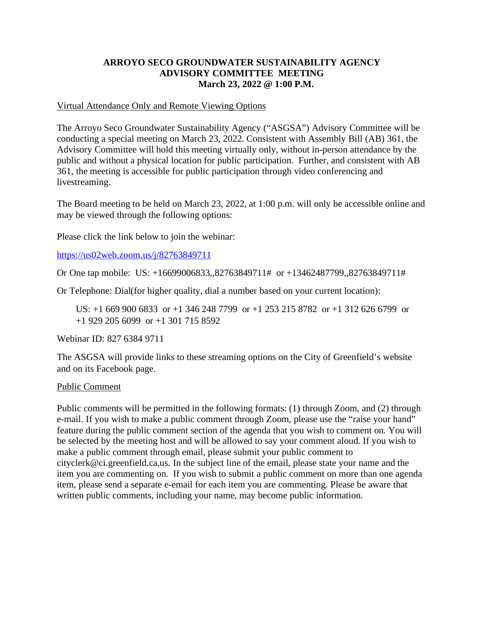# **ARROYO SECO GROUNDWATER SUSTAINABILITY AGENCY ADVISORY COMMITTEE MEETING March 23, 2022 @ 1:00 P.M.**

## Virtual Attendance Only and Remote Viewing Options

The Arroyo Seco Groundwater Sustainability Agency ("ASGSA") Advisory Committee will be conducting a special meeting on March 23, 2022. Consistent with Assembly Bill (AB) 361, the Advisory Committee will hold this meeting virtually only, without in-person attendance by the public and without a physical location for public participation. Further, and consistent with AB 361, the meeting is accessible for public participation through video conferencing and livestreaming.

The Board meeting to be held on March 23, 2022, at 1:00 p.m. will only be accessible online and may be viewed through the following options:

Please click the link below to join the webinar:

[https://us02web.zoom.us/j/82763849711](https://gcc02.safelinks.protection.outlook.com/?url=https%3A%2F%2Fus02web.zoom.us%2Fj%2F82763849711&data=04%7C01%7Carathbun%40ci.greenfield.ca.us%7C73ab76fb2a3c4132677d08da0914a1c2%7C52adf9cdcd76407fa0a4fe337a2cafc6%7C0%7C0%7C637832281465551829%7CUnknown%7CTWFpbGZsb3d8eyJWIjoiMC4wLjAwMDAiLCJQIjoiV2luMzIiLCJBTiI6Ik1haWwiLCJXVCI6Mn0%3D%7C3000&sdata=FA3FsIHhHb2Q240%2BIlzEkJRaW49KYymOng7LGL6zeLQ%3D&reserved=0)

Or One tap mobile: US: +16699006833,,82763849711# or +13462487799,,82763849711#

Or Telephone: Dial(for higher quality, dial a number based on your current location):

US: +1 669 900 6833 or +1 346 248 7799 or +1 253 215 8782 or +1 312 626 6799 or +1 929 205 6099 or +1 301 715 8592

Webinar ID: 827 6384 9711

The ASGSA will provide links to these streaming options on the City of Greenfield's website and on its Facebook page.

## Public Comment

Public comments will be permitted in the following formats: (1) through Zoom, and (2) through e-mail. If you wish to make a public comment through Zoom, please use the "raise your hand" feature during the public comment section of the agenda that you wish to comment on. You will be selected by the meeting host and will be allowed to say your comment aloud. If you wish to make a public comment through email, please submit your public comment to cityclerk@ci.greenfield.ca.us. In the subject line of the email, please state your name and the item you are commenting on. If you wish to submit a public comment on more than one agenda item, please send a separate e-email for each item you are commenting. Please be aware that written public comments, including your name, may become public information.